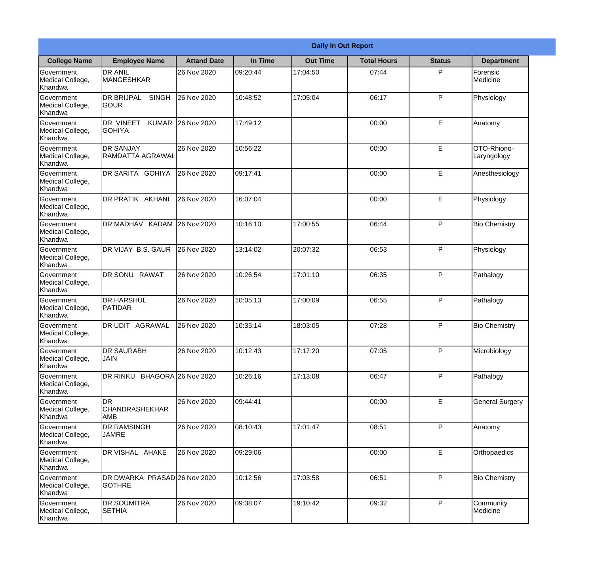| <b>Daily In Out Report</b>                |                                                   |                    |          |                 |                    |               |                            |
|-------------------------------------------|---------------------------------------------------|--------------------|----------|-----------------|--------------------|---------------|----------------------------|
| <b>College Name</b>                       | <b>Employee Name</b>                              | <b>Attand Date</b> | In Time  | <b>Out Time</b> | <b>Total Hours</b> | <b>Status</b> | <b>Department</b>          |
| Government<br>Medical College,<br>Khandwa | <b>DR ANIL</b><br><b>MANGESHKAR</b>               | 26 Nov 2020        | 09:20:44 | 17:04:50        | 07:44              | P             | Forensic<br>Medicine       |
| Government<br>Medical College,<br>Khandwa | DR BRIJPAL<br><b>SINGH</b><br><b>GOUR</b>         | 26 Nov 2020        | 10:48:52 | 17:05:04        | 06:17              | P             | Physiology                 |
| Government<br>Medical College,<br>Khandwa | <b>DR VINEET</b><br><b>KUMAR</b><br><b>GOHIYA</b> | 26 Nov 2020        | 17:49:12 |                 | 00:00              | E             | Anatomy                    |
| Government<br>Medical College,<br>Khandwa | <b>DR SANJAY</b><br>RAMDATTA AGRAWAL              | 26 Nov 2020        | 10:56:22 |                 | 00:00              | E             | OTO-Rhiono-<br>Laryngology |
| Government<br>Medical College,<br>Khandwa | DR SARITA GOHIYA                                  | 26 Nov 2020        | 09:17:41 |                 | 00:00              | E             | Anesthesiology             |
| Government<br>Medical College,<br>Khandwa | DR PRATIK AKHANI                                  | 26 Nov 2020        | 16:07:04 |                 | 00:00              | $\mathsf E$   | Physiology                 |
| Government<br>Medical College,<br>Khandwa | DR MADHAV KADAM                                   | 26 Nov 2020        | 10:16:10 | 17:00:55        | 06:44              | P             | <b>Bio Chemistry</b>       |
| Government<br>Medical College,<br>Khandwa | DR VIJAY B.S. GAUR                                | 26 Nov 2020        | 13:14:02 | 20:07:32        | 06:53              | P             | Physiology                 |
| Government<br>Medical College,<br>Khandwa | <b>DR SONU RAWAT</b>                              | 26 Nov 2020        | 10:26:54 | 17:01:10        | 06:35              | P             | Pathalogy                  |
| Government<br>Medical College,<br>Khandwa | <b>DR HARSHUL</b><br>PATIDAR                      | 26 Nov 2020        | 10:05:13 | 17:00:09        | 06:55              | P             | Pathalogy                  |
| Government<br>Medical College,<br>Khandwa | <b>AGRAWAL</b><br>DR UDIT                         | 26 Nov 2020        | 10:35:14 | 18:03:05        | 07:28              | P             | <b>Bio Chemistry</b>       |
| Government<br>Medical College,<br>Khandwa | <b>DR SAURABH</b><br><b>JAIN</b>                  | 26 Nov 2020        | 10:12:43 | 17:17:20        | 07:05              | P             | Microbiology               |
| Government<br>Medical College,<br>Khandwa | DR RINKU BHAGORA 26 Nov 2020                      |                    | 10:26:16 | 17:13:08        | 06:47              | P             | Pathalogy                  |
| Government<br>Medical College,<br>Khandwa | <b>DR</b><br><b>CHANDRASHEKHAR</b><br>AMB         | 26 Nov 2020        | 09:44:41 |                 | 00:00              | $\mathsf E$   | <b>General Surgery</b>     |
| Government<br>Medical College,<br>Khandwa | DR RAMSINGH<br><b>JAMRE</b>                       | 26 Nov 2020        | 08:10:43 | 17:01:47        | 08:51              | $\mathsf{P}$  | Anatomy                    |
| Government<br>Medical College,<br>Khandwa | DR VISHAL AHAKE                                   | 26 Nov 2020        | 09:29:06 |                 | 00:00              | $\mathsf E$   | Orthopaedics               |
| Government<br>Medical College,<br>Khandwa | DR DWARKA PRASAD 26 Nov 2020<br><b>GOTHRE</b>     |                    | 10:12:56 | 17:03:58        | 06:51              | P             | <b>Bio Chemistry</b>       |
| Government<br>Medical College,<br>Khandwa | DR SOUMITRA<br><b>SETHIA</b>                      | 26 Nov 2020        | 09:38:07 | 19:10:42        | 09:32              | P             | Community<br>Medicine      |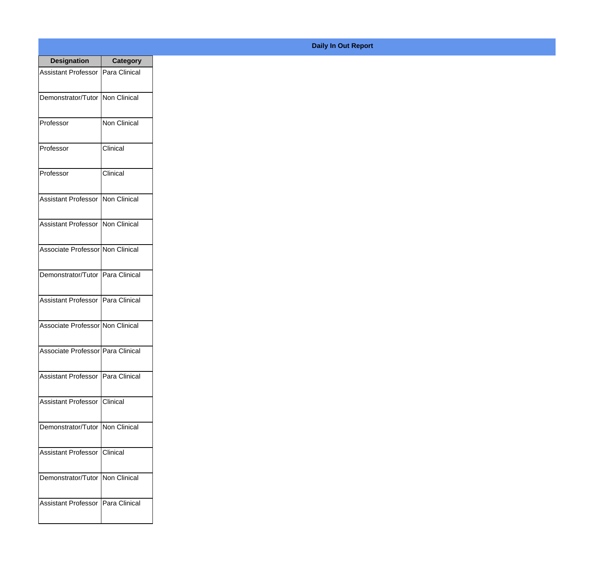| <b>Designation</b>                  | <b>Category</b>     |
|-------------------------------------|---------------------|
| <b>Assistant Professor</b>          | Para Clinical       |
| Demonstrator/Tutor                  | Non Clinical        |
| Professor                           | <b>Non Clinical</b> |
| Professor                           | Clinical            |
| Professor                           | Clinical            |
| <b>Assistant Professor</b>          | Non Clinical        |
| <b>Assistant Professor</b>          | <b>Non Clinical</b> |
| Associate Professor Non Clinical    |                     |
| Demonstrator/Tutor                  | Para Clinical       |
| <b>Assistant Professor</b>          | Para Clinical       |
| Associate Professor Non Clinical    |                     |
| Associate Professor   Para Clinical |                     |
| Assistant Professor   Para Clinical |                     |
| Assistant Professor   Clinical      |                     |
| Demonstrator/Tutor   Non Clinical   |                     |
| <b>Assistant Professor</b>          | <b>Clinical</b>     |
| Demonstrator/Tutor   Non Clinical   |                     |
| <b>Assistant Professor</b>          | Para Clinical       |

**Daily In Out Report**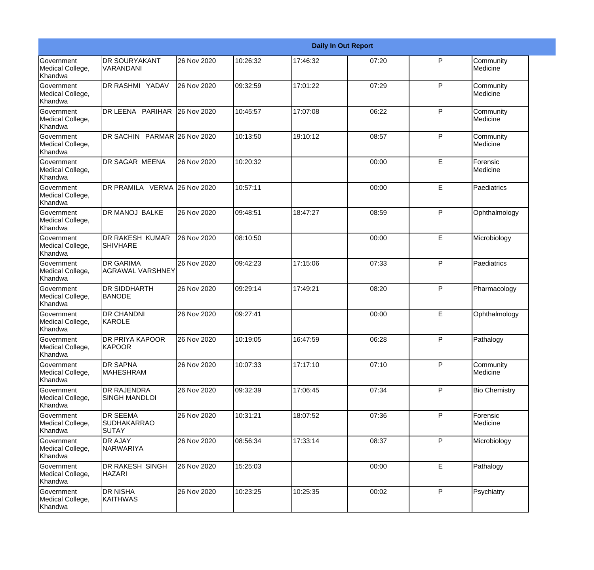|                                                         |                                                       |             |          |          | <b>Daily In Out Report</b> |              |                       |
|---------------------------------------------------------|-------------------------------------------------------|-------------|----------|----------|----------------------------|--------------|-----------------------|
| Government<br>Medical College,<br>Khandwa               | <b>DR SOURYAKANT</b><br><b>VARANDANI</b>              | 26 Nov 2020 | 10:26:32 | 17:46:32 | 07:20                      | P            | Community<br>Medicine |
| Government<br>Medical College,<br>Khandwa               | DR RASHMI YADAV                                       | 26 Nov 2020 | 09:32:59 | 17:01:22 | 07:29                      | P            | Community<br>Medicine |
| <b>Government</b><br>Medical College,<br>Khandwa        | DR LEENA PARIHAR 26 Nov 2020                          |             | 10:45:57 | 17:07:08 | 06:22                      | P            | Community<br>Medicine |
| <b>Government</b><br>Medical College,<br>Khandwa        | DR SACHIN PARMAR 26 Nov 2020                          |             | 10:13:50 | 19:10:12 | 08:57                      | P            | Community<br>Medicine |
| Government<br>Medical College,<br>Khandwa               | <b>DR SAGAR MEENA</b>                                 | 26 Nov 2020 | 10:20:32 |          | 00:00                      | E            | Forensic<br>Medicine  |
| Government<br>Medical College,<br>Khandwa               | DR PRAMILA VERMA 26 Nov 2020                          |             | 10:57:11 |          | 00:00                      | E            | Paediatrics           |
| Government<br>Medical College,<br>Khandwa               | <b>DR MANOJ BALKE</b>                                 | 26 Nov 2020 | 09:48:51 | 18:47:27 | 08:59                      | P            | Ophthalmology         |
| Government<br>Medical College,<br>Khandwa               | <b>DR RAKESH KUMAR</b><br><b>SHIVHARE</b>             | 26 Nov 2020 | 08:10:50 |          | 00:00                      | E            | Microbiology          |
| Government<br>Medical College,<br>Khandwa               | <b>DR GARIMA</b><br><b>AGRAWAL VARSHNEY</b>           | 26 Nov 2020 | 09:42:23 | 17:15:06 | 07:33                      | P            | Paediatrics           |
| <b>Government</b><br>Medical College,<br>Khandwa        | <b>DR SIDDHARTH</b><br><b>BANODE</b>                  | 26 Nov 2020 | 09:29:14 | 17:49:21 | 08:20                      | P            | Pharmacology          |
| <b>Government</b><br>Medical College,<br><b>Khandwa</b> | <b>DR CHANDNI</b><br>KAROLE                           | 26 Nov 2020 | 09:27:41 |          | 00:00                      | E            | Ophthalmology         |
| Government<br>Medical College,<br>Khandwa               | DR PRIYA KAPOOR<br>KAPOOR                             | 26 Nov 2020 | 10:19:05 | 16:47:59 | 06:28                      | P            | Pathalogy             |
| Government<br>Medical College,<br>Khandwa               | <b>DR SAPNA</b><br>MAHESHRAM                          | 26 Nov 2020 | 10:07:33 | 17:17:10 | 07:10                      | P            | Community<br>Medicine |
| Government<br>Medical College,<br>Khandwa               | <b>DR RAJENDRA</b><br><b>SINGH MANDLOI</b>            | 26 Nov 2020 | 09:32:39 | 17:06:45 | 07:34                      | $\mathsf{P}$ | <b>Bio Chemistry</b>  |
| Government<br>Medical College,<br>Khandwa               | <b>DR SEEMA</b><br><b>SUDHAKARRAO</b><br><b>SUTAY</b> | 26 Nov 2020 | 10:31:21 | 18:07:52 | 07:36                      | P            | Forensic<br>Medicine  |
| Government<br>Medical College,<br>Khandwa               | <b>DR AJAY</b><br>NARWARIYA                           | 26 Nov 2020 | 08:56:34 | 17:33:14 | 08:37                      | P            | Microbiology          |
| Government<br>Medical College,<br>Khandwa               | DR RAKESH SINGH<br><b>HAZARI</b>                      | 26 Nov 2020 | 15:25:03 |          | 00:00                      | E            | Pathalogy             |
| Government<br>Medical College,<br>Khandwa               | <b>DR NISHA</b><br>KAITHWAS                           | 26 Nov 2020 | 10:23:25 | 10:25:35 | 00:02                      | $\mathsf{P}$ | Psychiatry            |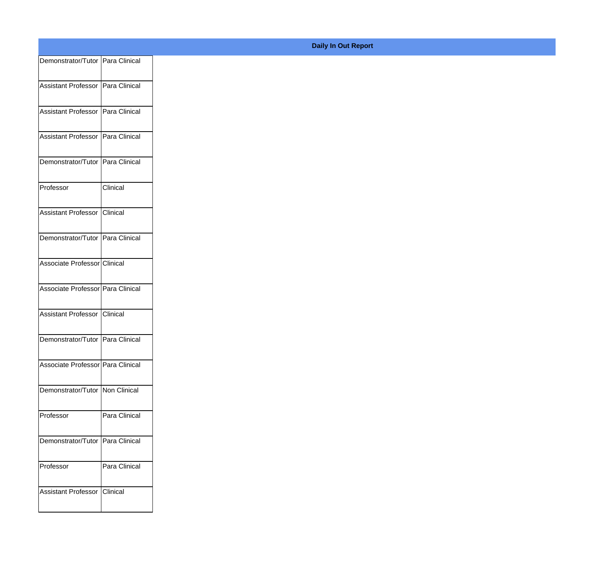| Demonstrator/Tutor Para Clinical    |               |
|-------------------------------------|---------------|
| Assistant Professor   Para Clinical |               |
|                                     |               |
| Assistant Professor   Para Clinical |               |
| Assistant Professor   Para Clinical |               |
|                                     |               |
| Demonstrator/Tutor Para Clinical    |               |
| Professor                           | Clinical      |
|                                     |               |
| Assistant Professor Clinical        |               |
| Demonstrator/Tutor Para Clinical    |               |
| Associate Professor Clinical        |               |
|                                     |               |
| Associate Professor Para Clinical   |               |
| Assistant Professor Clinical        |               |
|                                     |               |
| Demonstrator/Tutor Para Clinical    |               |
| Associate Professor Para Clinical   |               |
| Demonstrator/Tutor Non Clinical     |               |
|                                     |               |
| Professor                           | Para Clinical |
| Demonstrator/Tutor Para Clinical    |               |
|                                     |               |
| Professor                           | Para Clinical |
| Assistant Professor                 | Clinical      |
|                                     |               |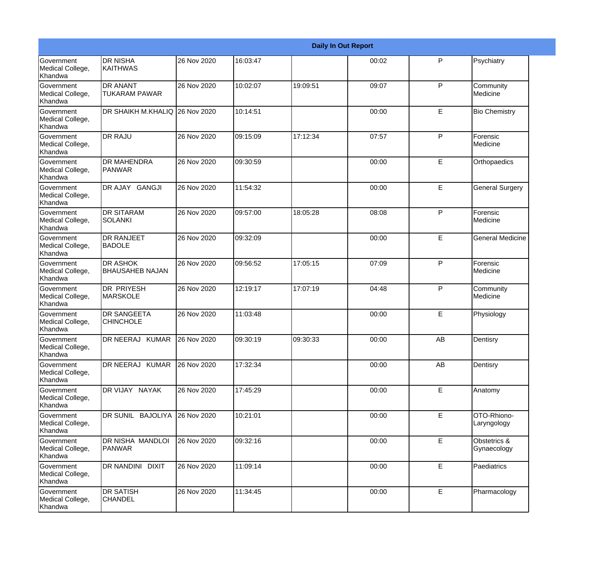|                                                  |                                         |             |          |           | <b>Daily In Out Report</b> |              |                             |
|--------------------------------------------------|-----------------------------------------|-------------|----------|-----------|----------------------------|--------------|-----------------------------|
| Government<br>Medical College,<br>Khandwa        | <b>DR NISHA</b><br>KAITHWAS             | 26 Nov 2020 | 16:03:47 |           | 00:02                      | P            | Psychiatry                  |
| Government<br>Medical College,<br>Khandwa        | <b>DR ANANT</b><br><b>TUKARAM PAWAR</b> | 26 Nov 2020 | 10:02:07 | 19:09:51  | 09:07                      | $\mathsf{P}$ | Community<br>Medicine       |
| <b>Government</b><br>Medical College,<br>Khandwa | DR SHAIKH M.KHALIQ 26 Nov 2020          |             | 10:14:51 |           | 00:00                      | E            | <b>Bio Chemistry</b>        |
| Government<br>Medical College,<br>Khandwa        | <b>DR RAJU</b>                          | 26 Nov 2020 | 09:15:09 | 17:12:34  | 07:57                      | $\mathsf{P}$ | Forensic<br>Medicine        |
| Government<br>Medical College,<br>Khandwa        | <b>DR MAHENDRA</b><br><b>PANWAR</b>     | 26 Nov 2020 | 09:30:59 |           | 00:00                      | E            | Orthopaedics                |
| Government<br>Medical College,<br><b>Khandwa</b> | DR AJAY GANGJI                          | 26 Nov 2020 | 11:54:32 |           | 00:00                      | E            | <b>General Surgery</b>      |
| Government<br>Medical College,<br>Khandwa        | <b>DR SITARAM</b><br>ISOLANKI           | 26 Nov 2020 | 09:57:00 | 18:05:28  | 08:08                      | $\mathsf{P}$ | Forensic<br>Medicine        |
| <b>Government</b><br>Medical College,<br>Khandwa | DR RANJEET<br><b>BADOLE</b>             | 26 Nov 2020 | 09:32:09 |           | 00:00                      | E            | <b>General Medicine</b>     |
| Government<br>Medical College,<br>Khandwa        | DR ASHOK<br><b>BHAUSAHEB NAJAN</b>      | 26 Nov 2020 | 09:56:52 | 17:05:15  | 07:09                      | P            | Forensic<br>Medicine        |
| Government<br>Medical College,<br>Khandwa        | <b>DR PRIYESH</b><br><b>MARSKOLE</b>    | 26 Nov 2020 | 12:19:17 | 17:07:19  | 04:48                      | $\mathsf{P}$ | Community<br>Medicine       |
| <b>Government</b><br>Medical College,<br>Khandwa | <b>DR SANGEETA</b><br><b>CHINCHOLE</b>  | 26 Nov 2020 | 11:03:48 |           | 00:00                      | E            | Physiology                  |
| Government<br>Medical College,<br>Khandwa        | DR NEERAJ KUMAR                         | 26 Nov 2020 | 09:30:19 | 109:30:33 | 00:00                      | AB           | Dentisry                    |
| Government<br>Medical College,<br>Khandwa        | DR NEERAJ KUMAR                         | 26 Nov 2020 | 17:32:34 |           | 00:00                      | AB           | Dentisry                    |
| Government<br>Medical College,<br>Khandwa        | DR VIJAY NAYAK                          | 26 Nov 2020 | 17:45:29 |           | 00:00                      | E            | Anatomy                     |
| Government<br>Medical College,<br>Khandwa        | DR SUNIL BAJOLIYA                       | 26 Nov 2020 | 10:21:01 |           | 00:00                      | E            | OTO-Rhiono-<br>Laryngology  |
| Government<br>Medical College,<br>Khandwa        | DR NISHA MANDLOI<br>PANWAR              | 26 Nov 2020 | 09:32:16 |           | 00:00                      | E            | Obstetrics &<br>Gynaecology |
| Government<br>Medical College,<br>Khandwa        | DR NANDINI DIXIT                        | 26 Nov 2020 | 11:09:14 |           | 00:00                      | E            | Paediatrics                 |
| Government<br>Medical College,<br>Khandwa        | <b>DR SATISH</b><br><b>CHANDEL</b>      | 26 Nov 2020 | 11:34:45 |           | 00:00                      | E            | Pharmacology                |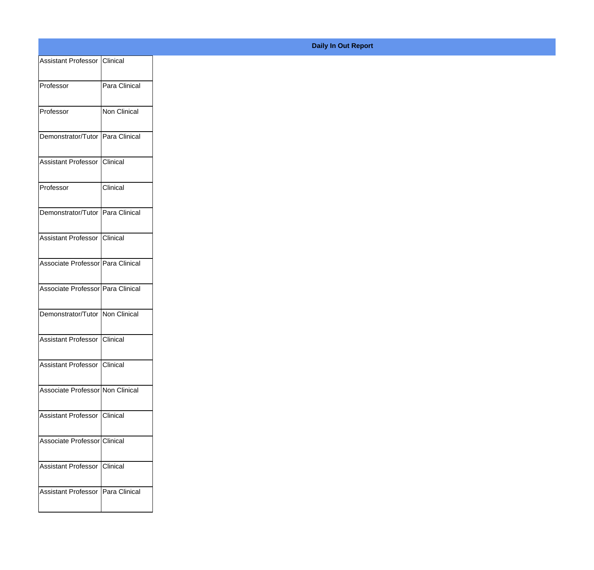|                                     |               |  | <b>Daily In Out Report</b> |
|-------------------------------------|---------------|--|----------------------------|
| Assistant Professor   Clinical      |               |  |                            |
| Professor                           | Para Clinical |  |                            |
| Professor                           | Non Clinical  |  |                            |
| Demonstrator/Tutor   Para Clinical  |               |  |                            |
| Assistant Professor Clinical        |               |  |                            |
| Professor                           | Clinical      |  |                            |
| Demonstrator/Tutor   Para Clinical  |               |  |                            |
| Assistant Professor Clinical        |               |  |                            |
| Associate Professor Para Clinical   |               |  |                            |
| Associate Professor Para Clinical   |               |  |                            |
| Demonstrator/Tutor   Non Clinical   |               |  |                            |
| Assistant Professor Clinical        |               |  |                            |
| Assistant Professor   Clinical      |               |  |                            |
| Associate Professor Non Clinical    |               |  |                            |
| Assistant Professor   Clinical      |               |  |                            |
| Associate Professor Clinical        |               |  |                            |
| Assistant Professor Clinical        |               |  |                            |
| Assistant Professor   Para Clinical |               |  |                            |
|                                     |               |  |                            |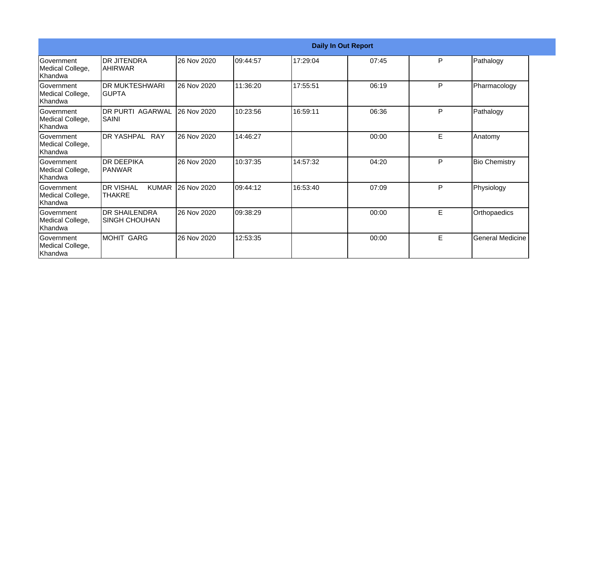|                                                  |                                                   |             |          | <b>Daily In Out Report</b> |       |    |                         |  |  |
|--------------------------------------------------|---------------------------------------------------|-------------|----------|----------------------------|-------|----|-------------------------|--|--|
| Government<br>Medical College,<br>Khandwa        | <b>DR JITENDRA</b><br><b>AHIRWAR</b>              | 26 Nov 2020 | 09:44:57 | 17:29:04                   | 07:45 | P  | Pathalogy               |  |  |
| Government<br>Medical College,<br>Khandwa        | <b>DR MUKTESHWARI</b><br>IGUPTA                   | 26 Nov 2020 | 11:36:20 | 17:55:51                   | 06:19 | P  | Pharmacology            |  |  |
| Government<br>Medical College,<br>Khandwa        | <b>DR PURTI AGARWAL</b><br>SAINI                  | 26 Nov 2020 | 10:23:56 | 16:59:11                   | 06:36 | P  | Pathalogy               |  |  |
| <b>Government</b><br>Medical College,<br>Khandwa | DR YASHPAL RAY                                    | 26 Nov 2020 | 14:46:27 |                            | 00:00 | E  | Anatomy                 |  |  |
| Government<br>Medical College,<br>Khandwa        | <b>DR DEEPIKA</b><br>IPANWAR                      | 26 Nov 2020 | 10:37:35 | 14:57:32                   | 04:20 | P  | <b>Bio Chemistry</b>    |  |  |
| Government<br>Medical College,<br>Khandwa        | <b>KUMAR</b><br><b>DR VISHAL</b><br><b>THAKRE</b> | 26 Nov 2020 | 09:44:12 | 16:53:40                   | 07:09 | P  | Physiology              |  |  |
| Government<br>Medical College,<br>Khandwa        | <b>DR SHAILENDRA</b><br><b>SINGH CHOUHAN</b>      | 26 Nov 2020 | 09:38:29 |                            | 00:00 | E. | Orthopaedics            |  |  |
| Government<br>Medical College,<br>Khandwa        | MOHIT GARG                                        | 26 Nov 2020 | 12:53:35 |                            | 00:00 | E  | <b>General Medicine</b> |  |  |